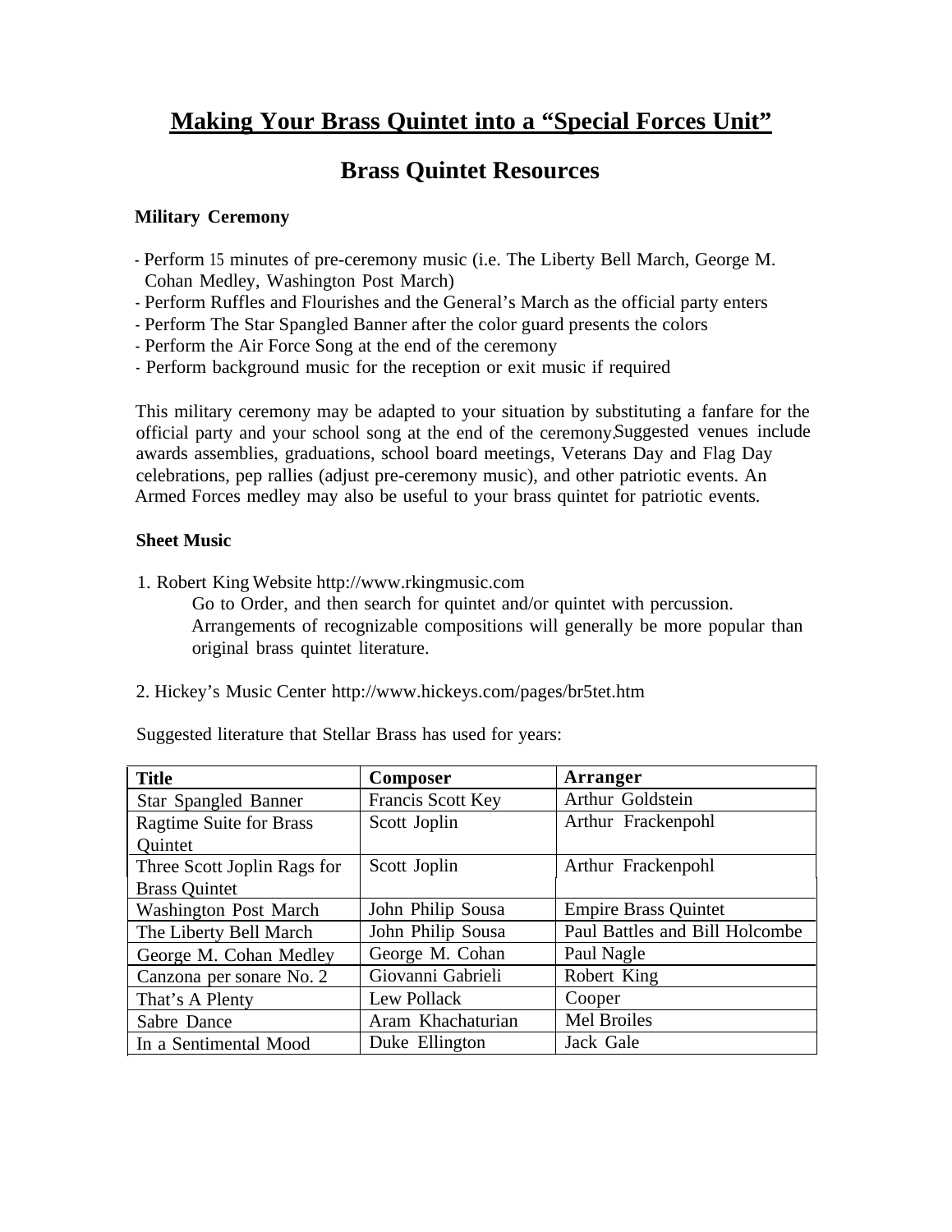# **Making Your Brass Quintet into a "Special Forces Unit"**

## **Brass Quintet Resources**

### **Military Ceremony**

- Perform 15 minutes of pre-ceremony music (i.e. The Liberty Bell March, George M. Cohan Medley, Washington Post March)
- Perform Ruffles and Flourishes and the General's March as the official party enters
- Perform The Star Spangled Banner after the color guard presents the colors
- Perform the Air Force Song at the end of the ceremony
- Perform background music for the reception or exit music if required

This military ceremony may be adapted to your situation by substituting a fanfare for the official party and your school song at the end of the ceremony.Suggested venues include awards assemblies, graduations, school board meetings, Veterans Day and Flag Day celebrations, pep rallies (adjust pre-ceremony music), and other patriotic events. An Armed Forces medley may also be useful to your brass quintet for patriotic events.

#### **Sheet Music**

1. Robert King Website http://www.rkingmusic.com

Go to Order, and then search for quintet and/or quintet with percussion. Arrangements of recognizable compositions will generally be more popular than original brass quintet literature.

2. Hickey's Music Center http://www.hickeys.com/pages/br5tet.htm

Suggested literature that Stellar Brass has used for years:

| <b>Title</b>                   | Composer          | Arranger                       |
|--------------------------------|-------------------|--------------------------------|
| Star Spangled Banner           | Francis Scott Key | Arthur Goldstein               |
| <b>Ragtime Suite for Brass</b> | Scott Joplin      | Arthur Frackenpohl             |
| Quintet                        |                   |                                |
| Three Scott Joplin Rags for    | Scott Joplin      | Arthur Frackenpohl             |
| <b>Brass Quintet</b>           |                   |                                |
| <b>Washington Post March</b>   | John Philip Sousa | <b>Empire Brass Quintet</b>    |
| The Liberty Bell March         | John Philip Sousa | Paul Battles and Bill Holcombe |
| George M. Cohan Medley         | George M. Cohan   | Paul Nagle                     |
| Canzona per sonare No. 2       | Giovanni Gabrieli | Robert King                    |
| That's A Plenty                | Lew Pollack       | Cooper                         |
| Sabre Dance                    | Aram Khachaturian | Mel Broiles                    |
| In a Sentimental Mood          | Duke Ellington    | Jack Gale                      |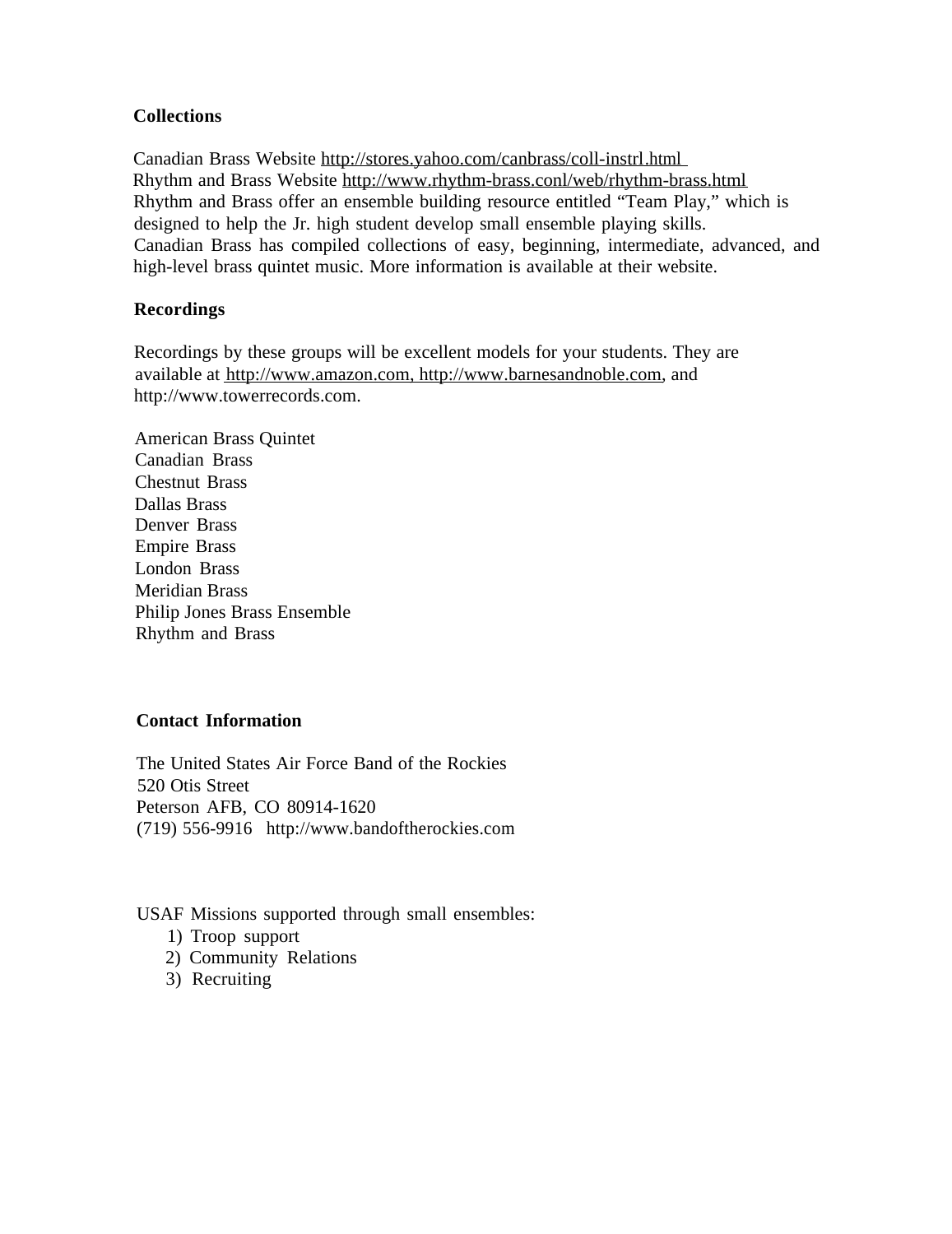#### **Collections**

Canadian Brass Website http://stores.yahoo.com/canbrass/coll-instrl.html Rhythm and Brass Website http://www.rhythm-brass.conl/web/rhythm-brass.html Rhythm and Brass offer an ensemble building resource entitled "Team Play," which is designed to help the Jr. high student develop small ensemble playing skills. Canadian Brass has compiled collections of easy, beginning, intermediate, advanced, and high-level brass quintet music. More information is available at their website.

#### **Recordings**

Recordings by these groups will be excellent models for your students. They are available at http://www.amazon.com, http://www.barnesandnoble.com, and http://www.towerrecords.com.

American Brass Quintet Canadian Brass Chestnut Brass Dallas Brass Denver Brass Empire Brass London Brass Meridian Brass Philip Jones Brass Ensemble Rhythm and Brass

#### **Contact Information**

The United States Air Force Band of the Rockies 520 Otis Street Peterson AFB, CO 80914-1620 (719) 556-9916 http://www.bandoftherockies.com

USAF Missions supported through small ensembles:

- 1) Troop support
- 2) Community Relations
- 3) Recruiting